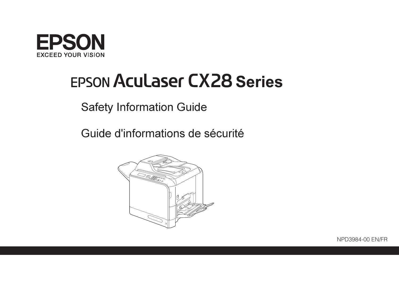

# **EPSON Aculaser CX28 Series**

**Safety Information Guide** 

Guide d'informations de sécurité



NPD3984-00 FN/FR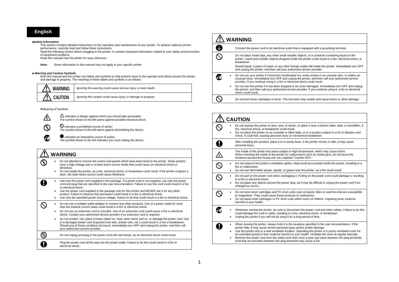# **English**

#### ■**Safety Information**

This section contains detailed instructions on the operation and maintenance of your printer. To achieve optimum printer performance, carefully read and follow these instructions.

Read the following section before plugging in the printer. It contains important information related to user safety and prevention of equipment problems.

Keep this manual near the printer for easy reference.

*Note:* Some information in this manual may not apply to your specific printer.

#### ■ **Warning and Caution Symbols**

Both this manual and the printer use labels and symbols to help prevent injury to the operator and others around the printer, and damage to property. The meaning of these labels and symbols is as follows:



#### ●Meaning of Symbols



(R)

Œ

A

 $\bigcirc$  indicates a prohibited course of action. The symbol shown to the left warns against dismantling the device.

 $\Delta$  indicates a danger against which you should take precaution. The symbol shown to the left warns against possible electrical shock.

 $\bullet$  indicates an imperative course of action. The symbol shown to the left indicates you must unplug the device.

# **WARNING**• Do not attempt to remove the covers and panels which have been fixed to the printer. Some printers have a high-voltage part or a laser beam source inside that could cause an electrical shock or blindness. • Do not modify the printer, as a fire, electrical shock, or breakdown could result. If the printer employs a laser, the laser beam source could cause blindness. • Use only the power cord supplied in the package. If a power cord is not supplied, use only the power cord and plug that are specified in the user documentation. Failure to use this cord could result in a fire or electrical shock. • Use the power cord supplied in the package only for this printer and NEVER use it for any other product. Failure to observe this precaution could result in a fire or electrical shock. • Use only the specified power source voltage. Failure to do that could result in a fire or electrical shock.  $\varnothing$ • Do not use a multiple outlet adapter to connect any other products. Use of a power outlet for more than the marked current value could result in a fire or electrical shock. • Do not use an extension cord in principle. Use of an extension cord could cause a fire or electrical shock. Contact your authorized service provider if an extension cord is required. • Do not scratch, rub, place a heavy object on, heat, twist, bend, pull on, or damage the power cord. Use of a damaged power cord (exposed core wire, broken wire, etc.) could result in a fire or breakdown. Should any of these conditions be found, immediately turn OFF and unplug the printer, and then call your authorized service provider.  $\circledS$ Do not unplug and plug in the power cord with wet hands, as an electrical shock could result.

Plug the power cord all the way into the power outlet. Failure to do this could result in a fire or electrical shock.

| <b>WARNING</b> |                                                                                                                                                                                                                                                                                          |  |
|----------------|------------------------------------------------------------------------------------------------------------------------------------------------------------------------------------------------------------------------------------------------------------------------------------------|--|
|                | Connect the power cord to an electrical outlet that is equipped with a grounding terminal.                                                                                                                                                                                               |  |
|                | Do not place metal clips, any other small metallic objects, or a container containing liquid on the<br>printer. Liquid and metallic objects dropped inside the printer could result in a fire, electrical shock, or<br>breakdown.                                                        |  |
|                | Should liquid, a piece of metal, or any other foreign matter fall inside the printer, immediately turn OFF<br>and unplug the printer, and then call your authorized service provider.                                                                                                    |  |
|                | Do not use your printer if it becomes inordinately hot, emits smoke or an unusual odor, or makes an<br>unusual noise. Immediately turn OFF and unplug the printer, and then call your authorized service<br>provider. If you continue using it, a fire or electrical shock could result. |  |
|                | Do not use this printer if it has been dropped or its cover damaged. Immediately turn OFF and unplug<br>$\bullet$<br>the printer, and then call your authorized service provider. If you continue using it, a fire or electrical<br>shock could result.                                  |  |
|                | Do not burn toner cartridges or toner. The hot toner may scatter and cause burns or other damage.                                                                                                                                                                                        |  |

| <b>CAUTION</b> |                                                                                                                                                                                                                                                                                                                                                                                                                                                                                                                                                                                             |  |
|----------------|---------------------------------------------------------------------------------------------------------------------------------------------------------------------------------------------------------------------------------------------------------------------------------------------------------------------------------------------------------------------------------------------------------------------------------------------------------------------------------------------------------------------------------------------------------------------------------------------|--|
|                | Do not expose the printer to dust, soot, or steam, or place it near a kitchen table, bath, or humidifier. A<br>fire, electrical shock, or breakdown could result.<br>Do not place the printer on an unstable or tilted table, or in a location subject to a lot of vibration and<br>shock. It could fall, causing personal injury or mechanical breakdown.                                                                                                                                                                                                                                  |  |
|                | After installing this product, place it on a sturdy base. It the printer moves or falls, it may cause<br>personal injury.                                                                                                                                                                                                                                                                                                                                                                                                                                                                   |  |
| $\mathbf{A}$   | The inside of the printer has areas subject to high temperature, which may cause burns.<br>When checking the inside of the printer for malfunctions such as media jams, do not touch the<br>locations (around the fusing unit, etc.) labeled "Caution HOT."                                                                                                                                                                                                                                                                                                                                 |  |
|                | Do not obstruct the printer's ventilation grilles. Heat could accumulate inside the printer, resulting in a<br>fire or malfunction.<br>Do not use flammable sprays, liquids, or gases near the printer, as a fire could result.                                                                                                                                                                                                                                                                                                                                                             |  |
|                | Do not pull on the power cord when unplugging it. Pulling on the power cord could damage it, resulting<br>in a fire or electrical shock.<br>Do not place any objects around the power plug, as it may be difficult to unplug the power cord if an<br>emergency occurs.                                                                                                                                                                                                                                                                                                                      |  |
|                | Do not store toner cartridges and PC drum units near computer disks or watches that are susceptible<br>to magnetism. They could cause these products to malfunction.<br>Do not leave toner cartridges or PC drum units within reach of children. Ingesting toner could be<br>harmful to your health.                                                                                                                                                                                                                                                                                        |  |
|                | Whenever moving the printer, be sure to disconnect the power cord and other cables. Failure to do this<br>could damage the cord or cable, resulting in a fire, electrical shock, or breakdown.<br>Unplug the printer if you will not be using it for a long period of time.                                                                                                                                                                                                                                                                                                                 |  |
|                | When moving the printer, always hold it in the locations specified in the user documentation. If the<br>٠<br>printer falls, it may cause severe personal injury and/or printer damage.<br>Use the printer only in a well-ventilated location. Operating the printer in a poorly ventilated room for<br>٠<br>an extended period of time could be harmful to your health. Ventilate the room at regular intervals.<br>Remove the power cord from the outlet more than once a year and clean between the plug terminals.<br>Dust that accumulates between the plug terminals may cause a fire. |  |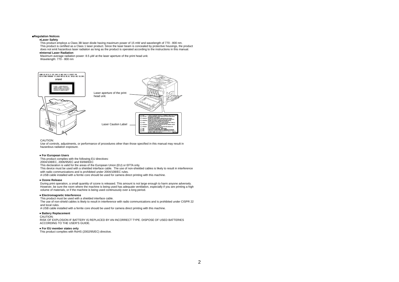#### **■Regulation Notices**

### **●Laser Safety**

This product employs a Class 3B laser diode having maximum power of 15 mW and wavelength of 770 - 800 nm. This product is certified as a Class 1 laser product. Since the laser beam is concealed by protective housings, the product does not emit hazardous laser radiation as long as the product is operated according to the instructions in this manual. **●Internal Laser Radiation** 

Maximum average radiation power: 8.5 µW at the laser aperture of the print head unit.

Wavelength: 770 - 800 nm



# CAUTION:

 Use of controls, adjustments, or performance of procedures other than those specified in this manual may result in hazardous radiation exposure.

#### **● For European Users**

This product complies with the following EU directives:

2004/108/EC, 2006/95/EC and 93/68/EEC

This declaration is valid for the areas of the European Union (EU) or EFTA only.

This device must be used with a shielded interface cable. The use of non-shielded cables is likely to result in interference with radio communications and is prohibited under 2004/108/EC rules.

A USB cable installed with a ferrite core should be used for camera direct printing with this machine.

#### **● Ozone Release**

 During print operation, a small quantity of ozone is released. This amount is not large enough to harm anyone adversely. However, be sure the room where the machine is being used has adequate ventilation, especially if you are printing a high volume of materials, or if the machine is being used continuously over a long period.

# **● Electromagnetic Interference**

This product must be used with a shielded interface cable.

The use of non-shield cables is likely to result in interference with radio communications and is prohibited under CISPR 22 and local rules.

A USB cable installed with a ferrite core should be used for camera direct printing with this machine.

# **● Battery Replacement**

CAUTION:

 RISK OF EXPLOSION IF BATTERY IS REPLACED BY AN INCORRECT TYPE. DISPOSE OF USED BATTERIES ACCORDING TO THE USER'S GUIDE.

# **● For EU member states only**

This product complies with RoHS (2002/95/EC) directive.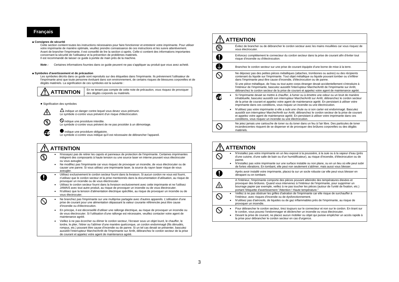# **Français**

#### ■ **Consignes de sécurité**

Cette section contient toutes les instructions nécessaires pour faire fonctionner et entretenir votre imprimante. Pour utiliser votre imprimante de manière optimale, veuillez prendre connaissance de ces instructions et les suivre attentivement. Avant de brancher l'imprimante, il est conseillé de lire la section ci-après. Celle-ci contient des informations importantes concernant la sécurité de l'utilisateur et la prévention de problèmes matériels.

Il est recommandé de laisser ce guide à portée de main près de la machine.

*Note :* Certaines informations fournies dans ce guide peuvent ne pas s'appliquer au produit que vous avez acheté.

#### ■ **Symboles d'avertissement et de précaution**

Les symboles décrits dans ce guide sont reproduits sur des étiquettes dans l'imprimante. Ils préviennent l'utilisateur de l'imprimante ainsi que toute personne évoluant dans son environnement, de certains risques de blessures corporelles et de dégâts matériels. La signification de ces symboles est la suivante :

| $\sqrt{N}$ ATTENTION | En ne tenant pas compte de cette note de précaution, vous risquez de provoquer<br>des dégâts corporels ou matériels. |
|----------------------|----------------------------------------------------------------------------------------------------------------------|
|----------------------|----------------------------------------------------------------------------------------------------------------------|

# ● Signification des symboles

八

Œ

经

Le symbole ci-contre vous prévient d'un risque d'électrocution.

 $\bigcirc$  indique une procédure interdite. Le symbole ci-contre vous prévient de ne pas procéder à un démontage.

 $\Delta$  indique un danger contre lequel vous devez vous prémunir.

indique une procédure obligatoire.

Le symbole ci-contre vous indique qu'il est nécessaire de débrancher l'appareil.

#### **ATTENTION**• N'essayez pas de retirer les capots et panneaux de protection de l'imprimante. Certaines imprimantes  $\mathbb{Q}$ intègrent des composants à haute tension ou une source laser en interne pouvant vous électrocuter ou vous aveugler. • Ne modifiez pas l'imprimante car vous risquez de provoquer un incendie, de vous électrocuter ou de causer une panne. Si vous utilisez une imprimante laser, la source du rayon laser risque de vous aveugler. • Utilisez exclusivement le cordon secteur fourni dans la livraison. Si aucun cordon ne vous est fourni, A <sup>n</sup>'utilisez que le cordon secteur et la prise mentionnés dans la documentation d'utilisation, au risque de provoquer un incendie ou de vous électrocuter. • Utilisez le cordon secteur fourni dans la livraison exclusivement avec cette imprimante et ne l'utilisez JAMAIS avec tout autre produit, au risque de provoquer un incendie ou de vous électrocuter. • N'utilisez que la tension d'alimentation électrique spécifiée, au risque de provoquer un incendie ou de vous électrocuter. • Ne branchez pas l'imprimante sur une multiprise partagée avec d'autres appareils. L'utilisation d'une  $\varnothing$ prise de courant pour une alimentation dépassant la valeur courante référencée peut être cause d'incendie ou d'électrocution. • En principe, il est déconseillé d'utiliser une rallonge électrique, au risque de provoquer un incendie ou de vous électrocuter. Si l'utilisation d'une rallonge est nécessaire, veuillez contacter votre agent de maintenance agréé. • Veillez à ne pas écorcher ou élimer le cordon secteur, l'écraser sous un objet lourd, le chauffer, le tordre, le plier, l'étirer ou l'abîmer d'une manière quelconque, un cordon endommagé (fils dénudés,

rompus, etc.) pouvant être cause d'incendie ou de panne. Si un tel cas devait se présenter, basculez aussitôt l'interrupteur Marche/Arrêt de l'imprimante sur Arrêt, débranchez le cordon secteur de la prise de courant et appelez votre agent de maintenance agréé.

|   | <b>ATTENTION</b>                                                                                                                                                                                                                                                                                                                                                                                    |
|---|-----------------------------------------------------------------------------------------------------------------------------------------------------------------------------------------------------------------------------------------------------------------------------------------------------------------------------------------------------------------------------------------------------|
|   | Évitez de brancher ou de débrancher le cordon secteur avec les mains mouillées car vous risquez de<br>vous électrocuter.                                                                                                                                                                                                                                                                            |
|   | Enfoncez complètement le connecteur du cordon secteur dans la prise de courant afin d'éviter tout<br>risque d'incendie ou d'électrocution.                                                                                                                                                                                                                                                          |
| O | Branchez le cordon secteur sur une prise de courant équipée d'une borne de mise à la terre.                                                                                                                                                                                                                                                                                                         |
|   | Ne déposez pas des petites pièces métalliques (attaches, trombones ou autres) ou des récipients<br>contenant du liquide sur l'imprimante. Tout objet métallique ou liquide pouvant tomber ou s'infiltrer<br>dans l'imprimante peut être cause d'incendie, d'électrocution ou de panne.                                                                                                              |
|   | Si une pièce métallique, de l'eau ou tout autre corps étranger devait accidentellement s'introduire à<br>l'intérieur de l'imprimante, basculez aussitôt l'interrupteur Marche/Arrêt de l'imprimante sur Arrêt,<br>débranchez le cordon secteur de la prise de courant et appelez votre agent de maintenance agréé.                                                                                  |
|   | Si l'imprimante devait se mettre à chauffer, à fumer ou à émettre une odeur ou un bruit de manière<br>inhabituelle, basculez aussitôt son interrupteur Marche/Arrêt sur Arrêt, débranchez le cordon secteur<br>de la prise de courant et appelez votre agent de maintenance agréé. En persistant à utiliser votre<br>imprimante dans ces conditions, vous risquez un incendie ou une électrocution. |
|   | N'utilisez pas votre imprimante si elle a subi une chute ou si son carter est endommagé. Basculez<br>aussitôt son interrupteur Marche/Arrêt sur Arrêt, débranchez le cordon secteur de la prise de courant<br>et appelez votre agent de maintenance agréé. En persistant à utiliser votre imprimante dans ces<br>conditions, vous risquez un incendie ou une électrocution.                         |
|   | Ne jetez jamais une cartouche de toner ou du toner dans un feu à l'air libre. Des particules de toner<br>incandescentes risquent de se disperser et de provoquer des brûlures corporelles ou des dégâts<br>matériels.                                                                                                                                                                               |

| <b>ATTENTION</b> |   |                                                                                                                                                                                                                                                                                                                                                                                   |  |
|------------------|---|-----------------------------------------------------------------------------------------------------------------------------------------------------------------------------------------------------------------------------------------------------------------------------------------------------------------------------------------------------------------------------------|--|
|                  |   | N'installez pas votre imprimante en un lieu exposé à la poussière, à la suie ou à la vapeur d'eau (près<br>d'une cuisine, d'une salle de bain ou d'un humidificateur), au risque d'incendie, d'électrocution ou de<br>panne.                                                                                                                                                      |  |
|                  | ٠ | N'installez pas votre imprimante sur une surface instable ou non plane, ou en un lieu où elle peut subir<br>de fortes vibrations. En tombant, elle peut non seulement s'abîmer, mais aussi vous blesser.                                                                                                                                                                          |  |
|                  |   | Après avoir installé votre imprimante, placez-la sur un socle robuste car elle peut vous blesser en<br>dérapant ou en tombant.                                                                                                                                                                                                                                                    |  |
|                  |   | A l'intérieur, l'imprimante comporte des pièces pouvant atteindre des températures élevées et<br>provoquer des brûlures. Quand vous intervenez à l'intérieur de l'imprimante, pour supprimer un<br>bourrage papier par exemple, veillez à ne pas toucher les pièces (autour de l'unité de fixation, etc.)<br>portant l'étiquette d'avertissement "Attention ! Haute température." |  |
|                  | ٠ | Veillez à ne pas obstruer les grilles d'aération de l'imprimante car elle risque de surchauffer à<br>l'intérieur, avec risques d'incendie ou de dysfonctionnement.<br>N'utilisez pas d'aérosols, de liquides ou de gaz inflammables près de l'imprimante, au risque de<br>provoquer un incendie.                                                                                  |  |
|                  | ٠ | Pour débrancher le cordon secteur, tirez toujours sur le connecteur et non sur le cordon. En tirant sur<br>le cordon, vous pouvez l'endommager et déclencher un incendie ou vous électrocuter.<br>Devant la prise de courant, ne placez aucun mobilier ou objet qui puisse empêcher un accès rapide à<br>la prise pour débrancher le cordon secteur en cas d'urgence.             |  |